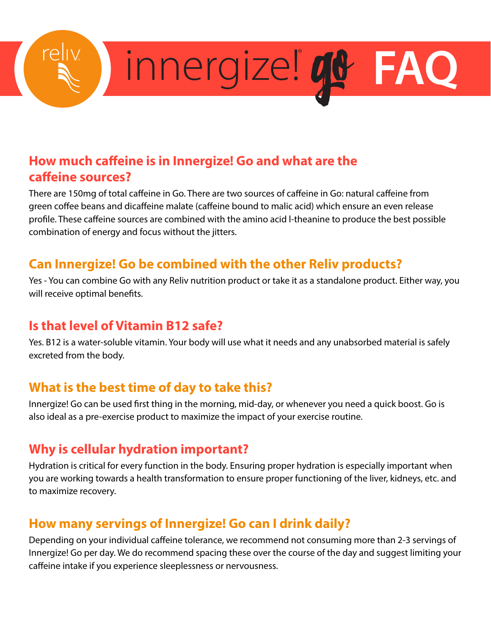

#### **How much caffeine is in Innergize! Go and what are the caffeine sources?**

There are 150mg of total caffeine in Go. There are two sources of caffeine in Go: natural caffeine from green coffee beans and dicaffeine malate (caffeine bound to malic acid) which ensure an even release profile. These caffeine sources are combined with the amino acid l-theanine to produce the best possible combination of energy and focus without the jitters.

### **Can Innergize! Go be combined with the other Reliv products?**

Yes - You can combine Go with any Reliv nutrition product or take it as a standalone product. Either way, you will receive optimal benefits.

#### **Is that level of Vitamin B12 safe?**

Yes. B12 is a water-soluble vitamin. Your body will use what it needs and any unabsorbed material is safely excreted from the body.

# **What is the best time of day to take this?**

Innergize! Go can be used first thing in the morning, mid-day, or whenever you need a quick boost. Go is also ideal as a pre-exercise product to maximize the impact of your exercise routine.

# **Why is cellular hydration important?**

Hydration is critical for every function in the body. Ensuring proper hydration is especially important when you are working towards a health transformation to ensure proper functioning of the liver, kidneys, etc. and to maximize recovery.

# **How many servings of Innergize! Go can I drink daily?**

Depending on your individual caffeine tolerance, we recommend not consuming more than 2-3 servings of Innergize! Go per day. We do recommend spacing these over the course of the day and suggest limiting your caffeine intake if you experience sleeplessness or nervousness.